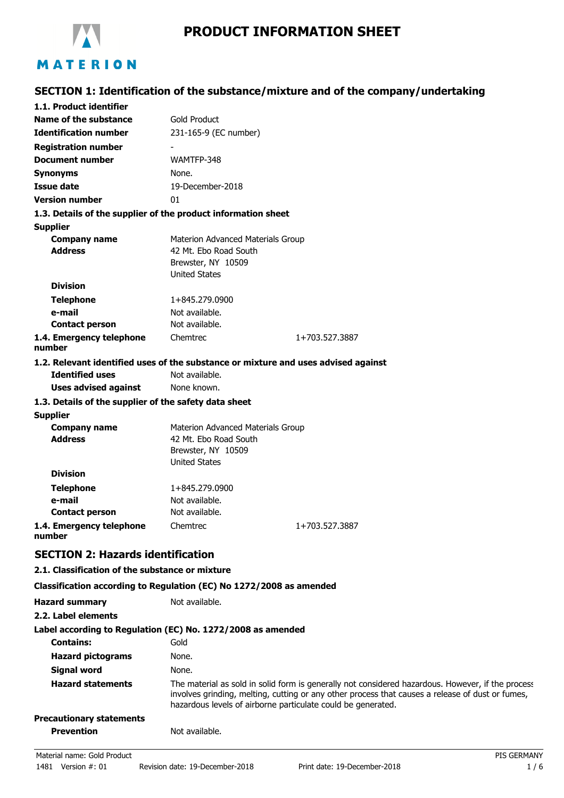

# **SECTION 1: Identification of the substance/mixture and of the company/undertaking**

| 1.1. Product identifier                                                            |                                   |                |  |
|------------------------------------------------------------------------------------|-----------------------------------|----------------|--|
| Name of the substance                                                              | <b>Gold Product</b>               |                |  |
| <b>Identification number</b>                                                       | 231-165-9 (EC number)             |                |  |
| <b>Registration number</b>                                                         |                                   |                |  |
| <b>Document number</b>                                                             | WAMTFP-348                        |                |  |
| Synonyms                                                                           | None.                             |                |  |
| <b>Issue date</b>                                                                  | 19-December-2018                  |                |  |
| Version number                                                                     | 01                                |                |  |
| 1.3. Details of the supplier of the product information sheet                      |                                   |                |  |
| <b>Supplier</b>                                                                    |                                   |                |  |
| <b>Company name</b>                                                                | Materion Advanced Materials Group |                |  |
| <b>Address</b>                                                                     | 42 Mt. Ebo Road South             |                |  |
|                                                                                    | Brewster, NY 10509                |                |  |
|                                                                                    | <b>United States</b>              |                |  |
| <b>Division</b>                                                                    |                                   |                |  |
| <b>Telephone</b>                                                                   | 1+845.279.0900                    |                |  |
| e-mail                                                                             | Not available.                    |                |  |
| <b>Contact person</b>                                                              | Not available.                    |                |  |
| 1.4. Emergency telephone<br>number                                                 | Chemtrec                          | 1+703.527.3887 |  |
| 1.2. Relevant identified uses of the substance or mixture and uses advised against |                                   |                |  |
| <b>Identified uses</b>                                                             | Not available.                    |                |  |
| <b>Uses advised against</b>                                                        | None known.                       |                |  |
| 1.3. Details of the supplier of the safety data sheet                              |                                   |                |  |
| <b>Supplier</b>                                                                    |                                   |                |  |
|                                                                                    | Materion Advanced Materials Group |                |  |
| <b>Company name</b>                                                                |                                   |                |  |
| <b>Address</b>                                                                     | 42 Mt. Ebo Road South             |                |  |
|                                                                                    | Brewster, NY 10509                |                |  |
|                                                                                    | <b>United States</b>              |                |  |
| <b>Division</b>                                                                    |                                   |                |  |
| <b>Telephone</b>                                                                   | 1+845.279.0900                    |                |  |
| e-mail                                                                             | Not available.                    |                |  |
| <b>Contact person</b>                                                              | Not available.                    |                |  |
| 1.4. Emergency telephone<br>number                                                 | Chemtrec                          | 1+703.527.3887 |  |

### **2.1. Classification of the substance or mixture**

#### **Classification according to Regulation (EC) No 1272/2008 as amended**

| <b>Hazard summary</b>           | Not available.                                                                                                                                                                                                                                                        |
|---------------------------------|-----------------------------------------------------------------------------------------------------------------------------------------------------------------------------------------------------------------------------------------------------------------------|
| 2.2. Label elements             |                                                                                                                                                                                                                                                                       |
|                                 | Label according to Regulation (EC) No. 1272/2008 as amended                                                                                                                                                                                                           |
| <b>Contains:</b>                | Gold                                                                                                                                                                                                                                                                  |
| <b>Hazard pictograms</b>        | None.                                                                                                                                                                                                                                                                 |
| Signal word                     | None.                                                                                                                                                                                                                                                                 |
| <b>Hazard statements</b>        | The material as sold in solid form is generally not considered hazardous. However, if the process<br>involves grinding, melting, cutting or any other process that causes a release of dust or fumes,<br>hazardous levels of airborne particulate could be generated. |
| <b>Precautionary statements</b> |                                                                                                                                                                                                                                                                       |
| <b>Prevention</b>               | Not available.                                                                                                                                                                                                                                                        |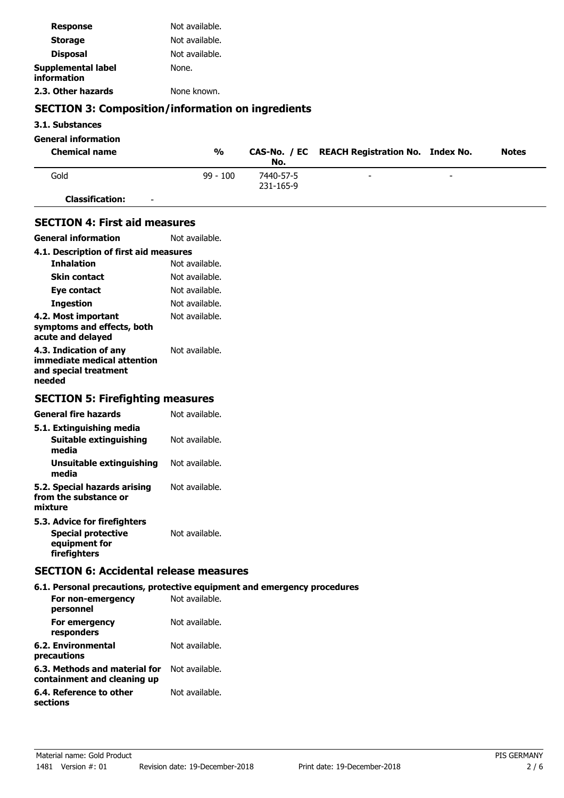| <b>Response</b>                                                                                            | Not available. |                        |                                         |              |
|------------------------------------------------------------------------------------------------------------|----------------|------------------------|-----------------------------------------|--------------|
| <b>Storage</b>                                                                                             | Not available. |                        |                                         |              |
| <b>Disposal</b>                                                                                            | Not available. |                        |                                         |              |
| <b>Supplemental label</b><br>information                                                                   | None.          |                        |                                         |              |
| 2.3. Other hazards                                                                                         | None known.    |                        |                                         |              |
| <b>SECTION 3: Composition/information on ingredients</b>                                                   |                |                        |                                         |              |
| 3.1. Substances                                                                                            |                |                        |                                         |              |
| <b>General information</b>                                                                                 |                |                        |                                         |              |
| <b>Chemical name</b>                                                                                       | $\frac{0}{0}$  | CAS-No. / EC<br>No.    | <b>REACH Registration No. Index No.</b> | <b>Notes</b> |
| Gold                                                                                                       | $99 - 100$     | 7440-57-5<br>231-165-9 |                                         |              |
| <b>Classification:</b>                                                                                     |                |                        |                                         |              |
| <b>SECTION 4: First aid measures</b>                                                                       |                |                        |                                         |              |
| <b>General information</b>                                                                                 | Not available. |                        |                                         |              |
| 4.1. Description of first aid measures                                                                     |                |                        |                                         |              |
| <b>Inhalation</b>                                                                                          | Not available. |                        |                                         |              |
| <b>Skin contact</b>                                                                                        | Not available. |                        |                                         |              |
| Eye contact                                                                                                | Not available. |                        |                                         |              |
| <b>Ingestion</b>                                                                                           | Not available. |                        |                                         |              |
| 4.2. Most important<br>symptoms and effects, both<br>acute and delayed                                     | Not available. |                        |                                         |              |
| 4.3. Indication of any<br>immediate medical attention<br>and special treatment<br>needed                   | Not available. |                        |                                         |              |
| <b>SECTION 5: Firefighting measures</b>                                                                    |                |                        |                                         |              |
| <b>General fire hazards</b>                                                                                | Not available. |                        |                                         |              |
| 5.1. Extinguishing media<br>Suitable extinguishing<br>media                                                | Not available. |                        |                                         |              |
| <b>Unsuitable extinguishing</b><br>media                                                                   | Not available. |                        |                                         |              |
| 5.2. Special hazards arising<br>from the substance or<br>mixture                                           | Not available. |                        |                                         |              |
| 5.3. Advice for firefighters<br><b>Special protective</b><br>equipment for<br>firefighters                 | Not available. |                        |                                         |              |
| <b>SECTION 6: Accidental release measures</b>                                                              |                |                        |                                         |              |
| 6.1. Personal precautions, protective equipment and emergency procedures<br>For non-emergency<br>personnel | Not available. |                        |                                         |              |
| For emergency<br>responders                                                                                | Not available. |                        |                                         |              |
| <b>6.2. Environmental</b><br>precautions                                                                   | Not available. |                        |                                         |              |
| 6.3. Methods and material for<br>containment and cleaning up                                               | Not available. |                        |                                         |              |
| 6.4. Reference to other<br>sections                                                                        | Not available. |                        |                                         |              |
|                                                                                                            |                |                        |                                         |              |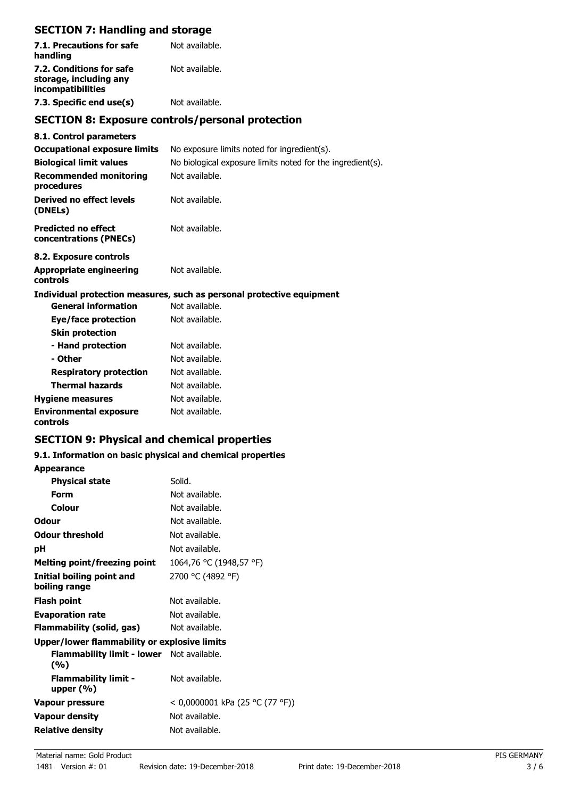# **SECTION 7: Handling and storage**

| 7.1. Precautions for safe<br>handling                                   | Not available. |
|-------------------------------------------------------------------------|----------------|
| 7.2. Conditions for safe<br>storage, including any<br>incompatibilities | Not available. |
| 7.3. Specific end use(s)                                                | Not available. |

# **SECTION 8: Exposure controls/personal protection**

| 8.1. Control parameters                              |                                                                       |
|------------------------------------------------------|-----------------------------------------------------------------------|
| <b>Occupational exposure limits</b>                  | No exposure limits noted for ingredient(s).                           |
| <b>Biological limit values</b>                       | No biological exposure limits noted for the ingredient(s).            |
| <b>Recommended monitoring</b><br>procedures          | Not available.                                                        |
| Derived no effect levels<br>(DNELs)                  | Not available.                                                        |
| <b>Predicted no effect</b><br>concentrations (PNECs) | Not available.                                                        |
| 8.2. Exposure controls                               |                                                                       |
| <b>Appropriate engineering</b><br>controls           | Not available.                                                        |
|                                                      | Individual protection measures, such as personal protective equipment |
| <b>General information</b>                           | Not available.                                                        |
| Eye/face protection                                  | Not available.                                                        |
| <b>Skin protection</b>                               |                                                                       |
| - Hand protection                                    | Not available.                                                        |
| - Other                                              | Not available.                                                        |
| <b>Respiratory protection</b>                        | Not available.                                                        |
| <b>Thermal hazards</b>                               | Not available.                                                        |
| <b>Hygiene measures</b>                              | Not available.                                                        |
| <b>Environmental exposure</b><br>controls            | Not available.                                                        |

# **SECTION 9: Physical and chemical properties**

## **9.1. Information on basic physical and chemical properties**

**Appearance**

| <b>Physical state</b>                                   | Solid.                          |
|---------------------------------------------------------|---------------------------------|
| Form                                                    | Not available.                  |
| Colour                                                  | Not available.                  |
| Odour                                                   | Not available.                  |
| <b>Odour threshold</b>                                  | Not available.                  |
| рH                                                      | Not available.                  |
| Melting point/freezing point                            | 1064,76 °C (1948,57 °F)         |
| Initial boiling point and<br>boiling range              | 2700 °C (4892 °F)               |
| Flash point                                             | Not available.                  |
| <b>Evaporation rate</b>                                 | Not available.                  |
| Flammability (solid, gas)                               | Not available.                  |
| Upper/lower flammability or explosive limits            |                                 |
| <b>Flammability limit - lower</b> Not available.<br>(%) |                                 |
| <b>Flammability limit -</b><br>upper $(\% )$            | Not available.                  |
| Vapour pressure                                         | < 0,0000001 kPa (25 °C (77 °F)) |
| <b>Vapour density</b>                                   | Not available.                  |
| Relative density                                        | Not available.                  |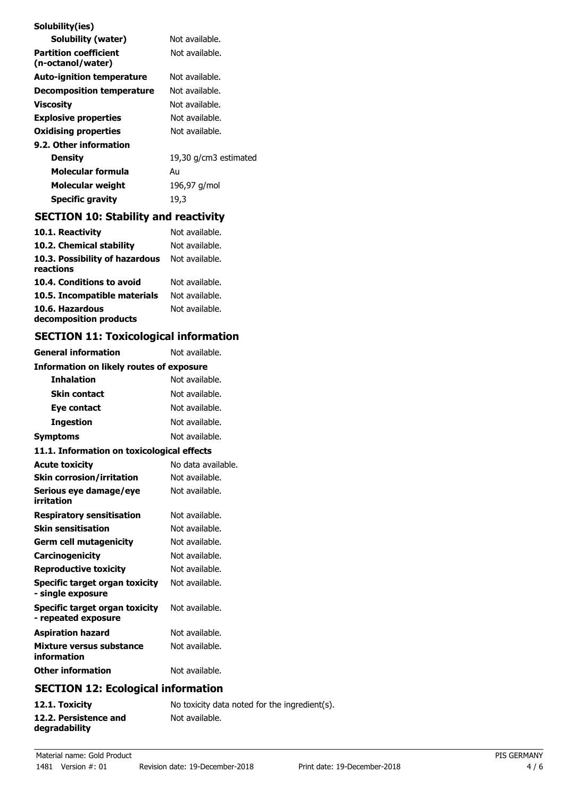| Solubility(ies)                                   |                       |
|---------------------------------------------------|-----------------------|
| Solubility (water)                                | Not available.        |
| <b>Partition coefficient</b><br>(n-octanol/water) | Not available.        |
| <b>Auto-ignition temperature</b>                  | Not available.        |
| Decomposition temperature                         | Not available.        |
| Viscosity                                         | Not available.        |
| <b>Explosive properties</b>                       | Not available.        |
| <b>Oxidising properties</b>                       | Not available.        |
| 9.2. Other information                            |                       |
| Density                                           | 19,30 g/cm3 estimated |
| Molecular formula                                 | Au                    |
| Molecular weight                                  | 196,97 g/mol          |
| <b>Specific gravity</b>                           | 19,3                  |

# **SECTION 10: Stability and reactivity**

| 10.1. Reactivity                            | Not available. |
|---------------------------------------------|----------------|
| 10.2. Chemical stability                    | Not available. |
| 10.3. Possibility of hazardous<br>reactions | Not available. |
| 10.4. Conditions to avoid                   | Not available. |
| 10.5. Incompatible materials                | Not available. |
| 10.6. Hazardous<br>decomposition products   | Not available. |

# **SECTION 11: Toxicological information**

| <b>General information</b>                            | Not available.     |  |  |
|-------------------------------------------------------|--------------------|--|--|
| <b>Information on likely routes of exposure</b>       |                    |  |  |
| <b>Inhalation</b>                                     | Not available.     |  |  |
| <b>Skin contact</b>                                   | Not available.     |  |  |
| Eve contact                                           | Not available.     |  |  |
| <b>Ingestion</b>                                      | Not available.     |  |  |
| <b>Symptoms</b>                                       | Not available.     |  |  |
| 11.1. Information on toxicological effects            |                    |  |  |
| <b>Acute toxicity</b>                                 | No data available. |  |  |
| <b>Skin corrosion/irritation</b>                      | Not available.     |  |  |
| Serious eye damage/eye<br>irritation                  | Not available.     |  |  |
| <b>Respiratory sensitisation</b>                      | Not available.     |  |  |
| <b>Skin sensitisation</b>                             | Not available.     |  |  |
| <b>Germ cell mutagenicity</b>                         | Not available.     |  |  |
| Carcinogenicity                                       | Not available.     |  |  |
| <b>Reproductive toxicity</b>                          | Not available.     |  |  |
| Specific target organ toxicity<br>- single exposure   | Not available.     |  |  |
| Specific target organ toxicity<br>- repeated exposure | Not available.     |  |  |
| <b>Aspiration hazard</b>                              | Not available.     |  |  |
| Mixture versus substance<br>information               | Not available.     |  |  |
| <b>Other information</b>                              | Not available.     |  |  |
| CECTION 12: Ecological information                    |                    |  |  |

# **SECTION 12: Ecological information**

| 12.1. Toxicity                         | No toxicity data noted for the ingredient(s). |
|----------------------------------------|-----------------------------------------------|
| 12.2. Persistence and<br>degradability | Not available.                                |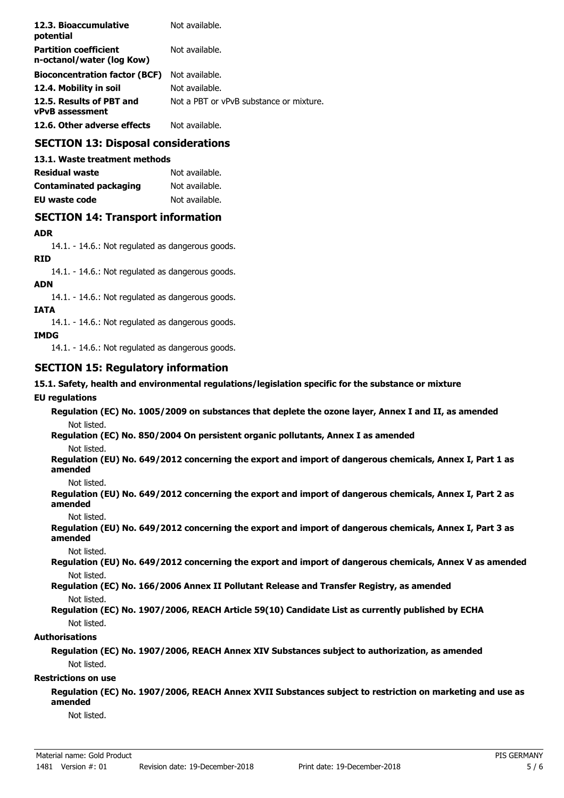| 12.3. Bioaccumulative<br>potential                        | Not available.                          |
|-----------------------------------------------------------|-----------------------------------------|
| <b>Partition coefficient</b><br>n-octanol/water (log Kow) | Not available.                          |
| <b>Bioconcentration factor (BCF)</b>                      | Not available.                          |
| 12.4. Mobility in soil                                    | Not available.                          |
| 12.5. Results of PBT and<br><b>vPvB</b> assessment        | Not a PBT or vPvB substance or mixture. |
| 12.6. Other adverse effects                               | Not available.                          |

# **SECTION 13: Disposal considerations**

**13.1. Waste treatment methods**

| Residual waste                | Not available. |
|-------------------------------|----------------|
| <b>Contaminated packaging</b> | Not available. |
| <b>EU waste code</b>          | Not available. |

## **SECTION 14: Transport information**

#### **ADR**

14.1. - 14.6.: Not regulated as dangerous goods.

# **RID**

14.1. - 14.6.: Not regulated as dangerous goods.

#### **ADN**

14.1. - 14.6.: Not regulated as dangerous goods.

#### **IATA**

14.1. - 14.6.: Not regulated as dangerous goods.

#### **IMDG**

14.1. - 14.6.: Not regulated as dangerous goods.

## **SECTION 15: Regulatory information**

#### **15.1. Safety, health and environmental regulations/legislation specific for the substance or mixture**

#### **EU regulations**

**Regulation (EC) No. 1005/2009 on substances that deplete the ozone layer, Annex I and II, as amended** Not listed.

**Regulation (EC) No. 850/2004 On persistent organic pollutants, Annex I as amended** Not listed.

**Regulation (EU) No. 649/2012 concerning the export and import of dangerous chemicals, Annex I, Part 1 as amended**

Not listed.

**Regulation (EU) No. 649/2012 concerning the export and import of dangerous chemicals, Annex I, Part 2 as amended**

Not listed.

**Regulation (EU) No. 649/2012 concerning the export and import of dangerous chemicals, Annex I, Part 3 as amended**

Not listed.

**Regulation (EU) No. 649/2012 concerning the export and import of dangerous chemicals, Annex V as amended** Not listed.

**Regulation (EC) No. 166/2006 Annex II Pollutant Release and Transfer Registry, as amended** Not listed.

#### **Regulation (EC) No. 1907/2006, REACH Article 59(10) Candidate List as currently published by ECHA** Not listed.

#### **Authorisations**

**Regulation (EC) No. 1907/2006, REACH Annex XIV Substances subject to authorization, as amended** Not listed.

#### **Restrictions on use**

**Regulation (EC) No. 1907/2006, REACH Annex XVII Substances subject to restriction on marketing and use as amended**

Not listed.